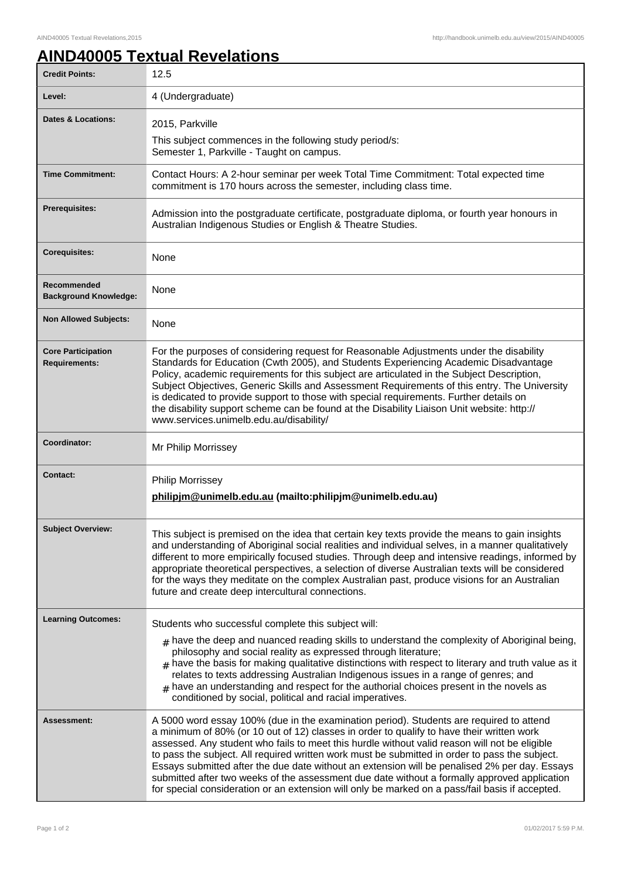## **AIND40005 Textual Revelations**

| <b>Credit Points:</b>                             | 12.5                                                                                                                                                                                                                                                                                                                                                                                                                                                                                                                                                                                                             |
|---------------------------------------------------|------------------------------------------------------------------------------------------------------------------------------------------------------------------------------------------------------------------------------------------------------------------------------------------------------------------------------------------------------------------------------------------------------------------------------------------------------------------------------------------------------------------------------------------------------------------------------------------------------------------|
| Level:                                            | 4 (Undergraduate)                                                                                                                                                                                                                                                                                                                                                                                                                                                                                                                                                                                                |
| <b>Dates &amp; Locations:</b>                     | 2015, Parkville<br>This subject commences in the following study period/s:<br>Semester 1, Parkville - Taught on campus.                                                                                                                                                                                                                                                                                                                                                                                                                                                                                          |
|                                                   |                                                                                                                                                                                                                                                                                                                                                                                                                                                                                                                                                                                                                  |
| <b>Time Commitment:</b>                           | Contact Hours: A 2-hour seminar per week Total Time Commitment: Total expected time<br>commitment is 170 hours across the semester, including class time.                                                                                                                                                                                                                                                                                                                                                                                                                                                        |
| <b>Prerequisites:</b>                             | Admission into the postgraduate certificate, postgraduate diploma, or fourth year honours in<br>Australian Indigenous Studies or English & Theatre Studies.                                                                                                                                                                                                                                                                                                                                                                                                                                                      |
| <b>Corequisites:</b>                              | None                                                                                                                                                                                                                                                                                                                                                                                                                                                                                                                                                                                                             |
| Recommended<br><b>Background Knowledge:</b>       | None                                                                                                                                                                                                                                                                                                                                                                                                                                                                                                                                                                                                             |
| <b>Non Allowed Subjects:</b>                      | None                                                                                                                                                                                                                                                                                                                                                                                                                                                                                                                                                                                                             |
| <b>Core Participation</b><br><b>Requirements:</b> | For the purposes of considering request for Reasonable Adjustments under the disability<br>Standards for Education (Cwth 2005), and Students Experiencing Academic Disadvantage<br>Policy, academic requirements for this subject are articulated in the Subject Description,<br>Subject Objectives, Generic Skills and Assessment Requirements of this entry. The University<br>is dedicated to provide support to those with special requirements. Further details on<br>the disability support scheme can be found at the Disability Liaison Unit website: http://<br>www.services.unimelb.edu.au/disability/ |
| Coordinator:                                      | Mr Philip Morrissey                                                                                                                                                                                                                                                                                                                                                                                                                                                                                                                                                                                              |
|                                                   |                                                                                                                                                                                                                                                                                                                                                                                                                                                                                                                                                                                                                  |
| <b>Contact:</b>                                   | <b>Philip Morrissey</b><br>philipjm@unimelb.edu.au (mailto:philipjm@unimelb.edu.au)                                                                                                                                                                                                                                                                                                                                                                                                                                                                                                                              |
| <b>Subject Overview:</b>                          | This subject is premised on the idea that certain key texts provide the means to gain insights<br>and understanding of Aboriginal social realities and individual selves, in a manner qualitatively<br>different to more empirically focused studies. Through deep and intensive readings, informed by<br>appropriate theoretical perspectives, a selection of diverse Australian texts will be considered<br>for the ways they meditate on the complex Australian past, produce visions for an Australian<br>future and create deep intercultural connections.                                                  |
| <b>Learning Outcomes:</b>                         |                                                                                                                                                                                                                                                                                                                                                                                                                                                                                                                                                                                                                  |
|                                                   | Students who successful complete this subject will:<br>$_{\text{\#}}$ have the deep and nuanced reading skills to understand the complexity of Aboriginal being,<br>philosophy and social reality as expressed through literature;<br>$#$ have the basis for making qualitative distinctions with respect to literary and truth value as it<br>relates to texts addressing Australian Indigenous issues in a range of genres; and<br>$#$ have an understanding and respect for the authorial choices present in the novels as<br>conditioned by social, political and racial imperatives.                        |